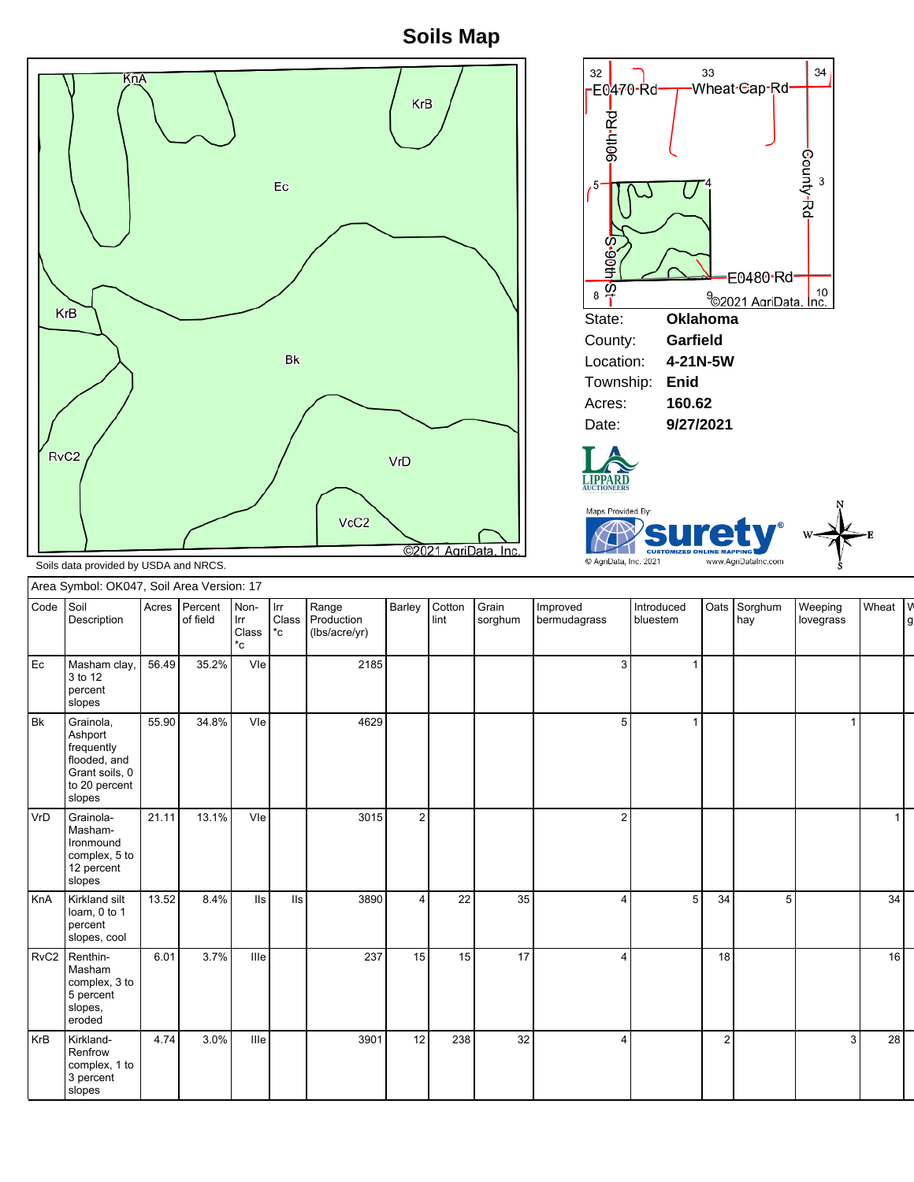**Soils Map**





Soils data provided by USDA and NRCS.

| Wheat V<br>Code Soil<br>Acres Percent<br>Barley<br>Cotton<br>Non-<br>Range<br>Grain<br>Oats<br>Sorghum<br>Weeping<br>Improved<br>Introduced<br>  Irr<br>Class Production<br>Description<br>of field<br>lint<br>bluestem<br>lovegrass<br>Irr<br>sorghum<br>bermudagrass<br>hay<br>g<br>$^{\ast}$ c<br>(lbs/acre/yr)<br>Class<br>*c<br>35.2%<br>Vle<br>56.49<br>2185<br>Masham clay,<br>3<br>3 to 12<br>percent<br>slopes<br>55.90<br>Vle<br>34.8%<br>4629<br>Grainola,<br>5<br>1<br>Ashport<br>frequently<br>flooded, and<br>Grant soils, 0<br>to 20 percent<br>slopes<br>21.11<br>13.1%<br>Vle<br>3015<br>Grainola-<br>2<br>$\overline{2}$<br>Masham-<br>Ironmound<br>complex, 5 to<br>12 percent<br>slopes<br>22<br>34<br>13.52<br>8.4%<br>3890<br>35<br>34<br>5<br>Kirkland silt<br>lls<br>$\overline{4}$<br>5<br>lls l<br>4<br>loam, 0 to 1<br>percent<br>slopes, cool<br>3.7%<br>16<br>RvC2   Renthin-<br>6.01<br>Ille<br>237<br>15<br>15<br>17<br>18<br>4<br>Masham<br>complex, 3 to<br>5 percent<br>slopes,<br>eroded<br>28<br>12<br>238<br>32<br>4.74<br>3.0%<br>Ille<br>Kirkland-<br>3901<br>$\overline{2}$<br>3 <br>$\overline{4}$<br>Renfrow<br>complex, 1 to<br>3 percent<br>slopes | Area Symbol: OK047, Soil Area Version: 17 |  |  |  |  |  |  |  |  |  |  |  |  |  |
|------------------------------------------------------------------------------------------------------------------------------------------------------------------------------------------------------------------------------------------------------------------------------------------------------------------------------------------------------------------------------------------------------------------------------------------------------------------------------------------------------------------------------------------------------------------------------------------------------------------------------------------------------------------------------------------------------------------------------------------------------------------------------------------------------------------------------------------------------------------------------------------------------------------------------------------------------------------------------------------------------------------------------------------------------------------------------------------------------------------------------------------------------------------------------------------------|-------------------------------------------|--|--|--|--|--|--|--|--|--|--|--|--|--|
|                                                                                                                                                                                                                                                                                                                                                                                                                                                                                                                                                                                                                                                                                                                                                                                                                                                                                                                                                                                                                                                                                                                                                                                                |                                           |  |  |  |  |  |  |  |  |  |  |  |  |  |
|                                                                                                                                                                                                                                                                                                                                                                                                                                                                                                                                                                                                                                                                                                                                                                                                                                                                                                                                                                                                                                                                                                                                                                                                | ${\sf Ec}$                                |  |  |  |  |  |  |  |  |  |  |  |  |  |
|                                                                                                                                                                                                                                                                                                                                                                                                                                                                                                                                                                                                                                                                                                                                                                                                                                                                                                                                                                                                                                                                                                                                                                                                | <b>Bk</b>                                 |  |  |  |  |  |  |  |  |  |  |  |  |  |
|                                                                                                                                                                                                                                                                                                                                                                                                                                                                                                                                                                                                                                                                                                                                                                                                                                                                                                                                                                                                                                                                                                                                                                                                | VrD                                       |  |  |  |  |  |  |  |  |  |  |  |  |  |
|                                                                                                                                                                                                                                                                                                                                                                                                                                                                                                                                                                                                                                                                                                                                                                                                                                                                                                                                                                                                                                                                                                                                                                                                | KnA                                       |  |  |  |  |  |  |  |  |  |  |  |  |  |
|                                                                                                                                                                                                                                                                                                                                                                                                                                                                                                                                                                                                                                                                                                                                                                                                                                                                                                                                                                                                                                                                                                                                                                                                |                                           |  |  |  |  |  |  |  |  |  |  |  |  |  |
|                                                                                                                                                                                                                                                                                                                                                                                                                                                                                                                                                                                                                                                                                                                                                                                                                                                                                                                                                                                                                                                                                                                                                                                                | <b>KrB</b>                                |  |  |  |  |  |  |  |  |  |  |  |  |  |